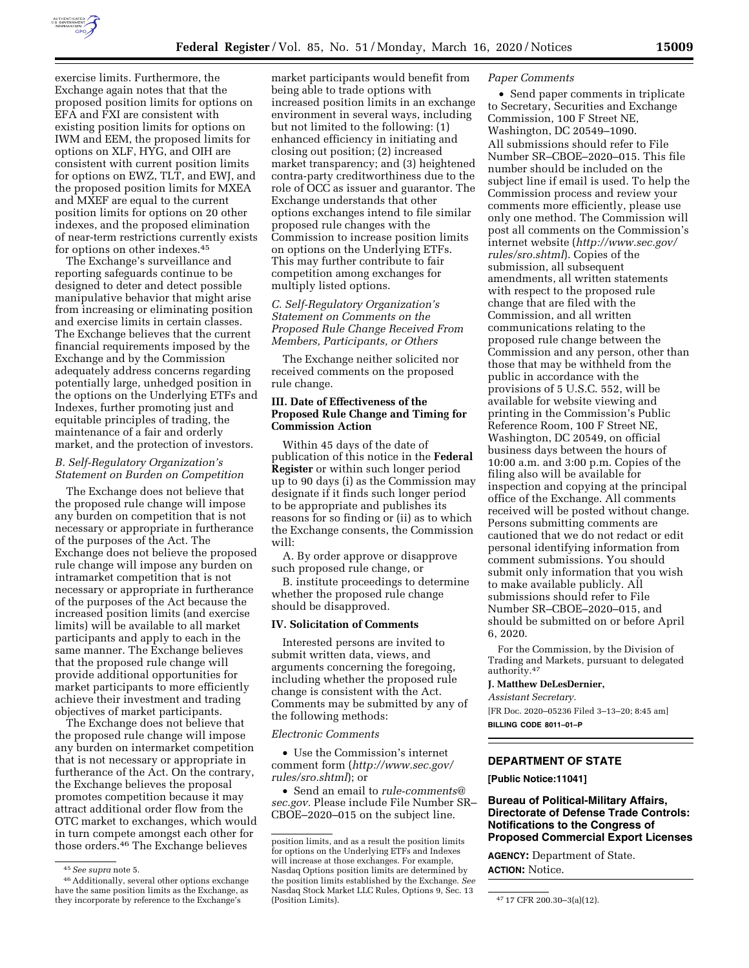

exercise limits. Furthermore, the Exchange again notes that that the proposed position limits for options on EFA and FXI are consistent with existing position limits for options on IWM and EEM, the proposed limits for options on XLF, HYG, and OIH are consistent with current position limits for options on EWZ, TLT, and EWJ, and the proposed position limits for MXEA and MXEF are equal to the current position limits for options on 20 other indexes, and the proposed elimination of near-term restrictions currently exists for options on other indexes.45

The Exchange's surveillance and reporting safeguards continue to be designed to deter and detect possible manipulative behavior that might arise from increasing or eliminating position and exercise limits in certain classes. The Exchange believes that the current financial requirements imposed by the Exchange and by the Commission adequately address concerns regarding potentially large, unhedged position in the options on the Underlying ETFs and Indexes, further promoting just and equitable principles of trading, the maintenance of a fair and orderly market, and the protection of investors.

# *B. Self-Regulatory Organization's Statement on Burden on Competition*

The Exchange does not believe that the proposed rule change will impose any burden on competition that is not necessary or appropriate in furtherance of the purposes of the Act. The Exchange does not believe the proposed rule change will impose any burden on intramarket competition that is not necessary or appropriate in furtherance of the purposes of the Act because the increased position limits (and exercise limits) will be available to all market participants and apply to each in the same manner. The Exchange believes that the proposed rule change will provide additional opportunities for market participants to more efficiently achieve their investment and trading objectives of market participants.

The Exchange does not believe that the proposed rule change will impose any burden on intermarket competition that is not necessary or appropriate in furtherance of the Act. On the contrary, the Exchange believes the proposal promotes competition because it may attract additional order flow from the OTC market to exchanges, which would in turn compete amongst each other for those orders.46 The Exchange believes

market participants would benefit from being able to trade options with increased position limits in an exchange environment in several ways, including but not limited to the following: (1) enhanced efficiency in initiating and closing out position; (2) increased market transparency; and (3) heightened contra-party creditworthiness due to the role of OCC as issuer and guarantor. The Exchange understands that other options exchanges intend to file similar proposed rule changes with the Commission to increase position limits on options on the Underlying ETFs. This may further contribute to fair competition among exchanges for multiply listed options.

*C. Self-Regulatory Organization's Statement on Comments on the Proposed Rule Change Received From Members, Participants, or Others* 

The Exchange neither solicited nor received comments on the proposed rule change.

# **III. Date of Effectiveness of the Proposed Rule Change and Timing for Commission Action**

Within 45 days of the date of publication of this notice in the **Federal Register** or within such longer period up to 90 days (i) as the Commission may designate if it finds such longer period to be appropriate and publishes its reasons for so finding or (ii) as to which the Exchange consents, the Commission will:

A. By order approve or disapprove such proposed rule change, or

B. institute proceedings to determine whether the proposed rule change should be disapproved.

## **IV. Solicitation of Comments**

Interested persons are invited to submit written data, views, and arguments concerning the foregoing, including whether the proposed rule change is consistent with the Act. Comments may be submitted by any of the following methods:

#### *Electronic Comments*

• Use the Commission's internet comment form (*[http://www.sec.gov/](http://www.sec.gov/rules/sro.shtml)  [rules/sro.shtml](http://www.sec.gov/rules/sro.shtml)*); or

• Send an email to *[rule-comments@](mailto:rule-comments@sec.gov) [sec.gov.](mailto:rule-comments@sec.gov)* Please include File Number SR– CBOE–2020–015 on the subject line.

# *Paper Comments*

• Send paper comments in triplicate to Secretary, Securities and Exchange Commission, 100 F Street NE, Washington, DC 20549–1090. All submissions should refer to File Number SR–CBOE–2020–015. This file number should be included on the subject line if email is used. To help the Commission process and review your comments more efficiently, please use only one method. The Commission will post all comments on the Commission's internet website (*[http://www.sec.gov/](http://www.sec.gov/rules/sro.shtml)  [rules/sro.shtml](http://www.sec.gov/rules/sro.shtml)*). Copies of the submission, all subsequent amendments, all written statements with respect to the proposed rule change that are filed with the Commission, and all written communications relating to the proposed rule change between the Commission and any person, other than those that may be withheld from the public in accordance with the provisions of 5 U.S.C. 552, will be available for website viewing and printing in the Commission's Public Reference Room, 100 F Street NE, Washington, DC 20549, on official business days between the hours of 10:00 a.m. and 3:00 p.m. Copies of the filing also will be available for inspection and copying at the principal office of the Exchange. All comments received will be posted without change. Persons submitting comments are cautioned that we do not redact or edit personal identifying information from comment submissions. You should submit only information that you wish to make available publicly. All submissions should refer to File Number SR–CBOE–2020–015, and should be submitted on or before April 6, 2020.

For the Commission, by the Division of Trading and Markets, pursuant to delegated authority.47

## **J. Matthew DeLesDernier,**

*Assistant Secretary.* 

[FR Doc. 2020–05236 Filed 3–13–20; 8:45 am] **BILLING CODE 8011–01–P** 

# **DEPARTMENT OF STATE**

**[Public Notice:11041]** 

**Bureau of Political-Military Affairs, Directorate of Defense Trade Controls: Notifications to the Congress of Proposed Commercial Export Licenses** 

**AGENCY:** Department of State. **ACTION:** Notice.

<sup>45</sup>*See supra* note 5.

<sup>46</sup>Additionally, several other options exchange have the same position limits as the Exchange, as they incorporate by reference to the Exchange's

position limits, and as a result the position limits for options on the Underlying ETFs and Indexes will increase at those exchanges. For example, Nasdaq Options position limits are determined by the position limits established by the Exchange. *See*  Nasdaq Stock Market LLC Rules, Options 9, Sec. 13

<sup>47 17</sup> CFR 200.30-3(a)(12).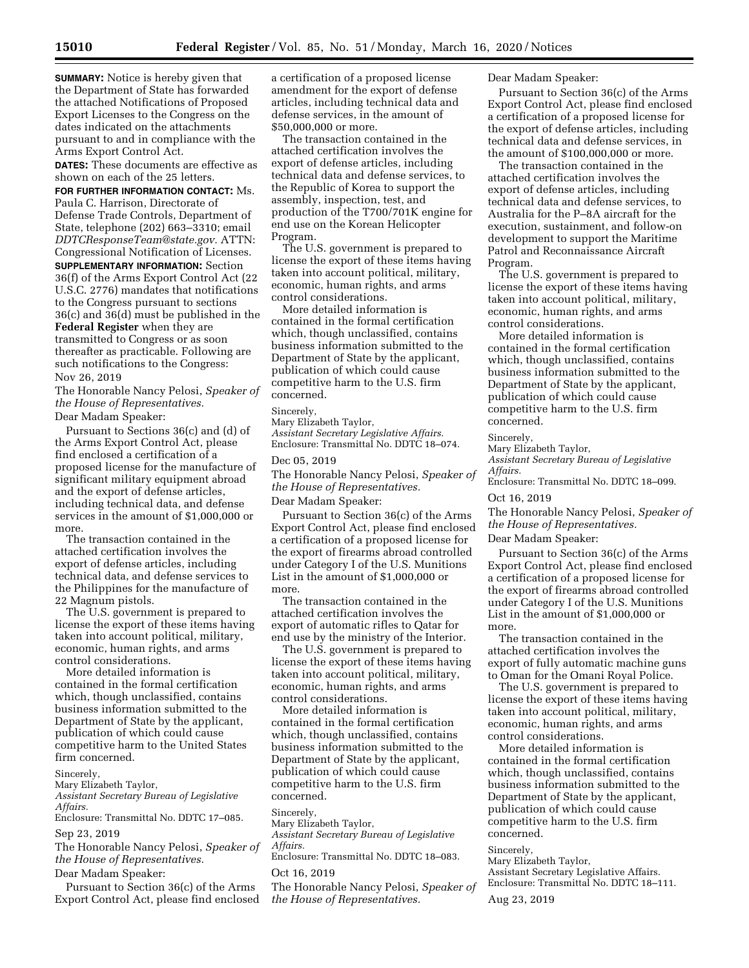**SUMMARY:** Notice is hereby given that the Department of State has forwarded the attached Notifications of Proposed Export Licenses to the Congress on the dates indicated on the attachments pursuant to and in compliance with the Arms Export Control Act.

**DATES:** These documents are effective as shown on each of the 25 letters.

**FOR FURTHER INFORMATION CONTACT:** Ms. Paula C. Harrison, Directorate of Defense Trade Controls, Department of State, telephone (202) 663–3310; email *[DDTCResponseTeam@state.gov.](mailto:DDTCResponseTeam@state.gov)* ATTN: Congressional Notification of Licenses. **SUPPLEMENTARY INFORMATION:** Section 36(f) of the Arms Export Control Act (22 U.S.C. 2776) mandates that notifications to the Congress pursuant to sections 36(c) and 36(d) must be published in the **Federal Register** when they are transmitted to Congress or as soon thereafter as practicable. Following are such notifications to the Congress:

Nov 26, 2019

The Honorable Nancy Pelosi, *Speaker of the House of Representatives.* 

Dear Madam Speaker:

Pursuant to Sections 36(c) and (d) of the Arms Export Control Act, please find enclosed a certification of a proposed license for the manufacture of significant military equipment abroad and the export of defense articles, including technical data, and defense services in the amount of \$1,000,000 or more.

The transaction contained in the attached certification involves the export of defense articles, including technical data, and defense services to the Philippines for the manufacture of 22 Magnum pistols.

The U.S. government is prepared to license the export of these items having taken into account political, military, economic, human rights, and arms control considerations.

More detailed information is contained in the formal certification which, though unclassified, contains business information submitted to the Department of State by the applicant, publication of which could cause competitive harm to the United States firm concerned.

Sincerely,

Mary Elizabeth Taylor, *Assistant Secretary Bureau of Legislative Affairs.* 

Enclosure: Transmittal No. DDTC 17–085.

Sep 23, 2019

The Honorable Nancy Pelosi, *Speaker of the House of Representatives.* 

Dear Madam Speaker:

Pursuant to Section 36(c) of the Arms Export Control Act, please find enclosed a certification of a proposed license amendment for the export of defense articles, including technical data and defense services, in the amount of \$50,000,000 or more.

The transaction contained in the attached certification involves the export of defense articles, including technical data and defense services, to the Republic of Korea to support the assembly, inspection, test, and production of the T700/701K engine for end use on the Korean Helicopter Program.

The U.S. government is prepared to license the export of these items having taken into account political, military, economic, human rights, and arms control considerations.

More detailed information is contained in the formal certification which, though unclassified, contains business information submitted to the Department of State by the applicant, publication of which could cause competitive harm to the U.S. firm concerned.

#### Sincerely,

Mary Elizabeth Taylor, *Assistant Secretary Legislative Affairs.*  Enclosure: Transmittal No. DDTC 18–074.

### Dec 05, 2019

The Honorable Nancy Pelosi, *Speaker of the House of Representatives.* 

Dear Madam Speaker:

Pursuant to Section 36(c) of the Arms Export Control Act, please find enclosed a certification of a proposed license for the export of firearms abroad controlled under Category I of the U.S. Munitions List in the amount of \$1,000,000 or more.

The transaction contained in the attached certification involves the export of automatic rifles to Qatar for end use by the ministry of the Interior.

The U.S. government is prepared to license the export of these items having taken into account political, military, economic, human rights, and arms control considerations.

More detailed information is contained in the formal certification which, though unclassified, contains business information submitted to the Department of State by the applicant, publication of which could cause competitive harm to the U.S. firm concerned.

#### Sincerely,

Mary Elizabeth Taylor,

*Assistant Secretary Bureau of Legislative Affairs.* 

Enclosure: Transmittal No. DDTC 18–083.

#### Oct 16, 2019

The Honorable Nancy Pelosi, *Speaker of the House of Representatives.* 

## Dear Madam Speaker:

Pursuant to Section 36(c) of the Arms Export Control Act, please find enclosed a certification of a proposed license for the export of defense articles, including technical data and defense services, in the amount of \$100,000,000 or more.

The transaction contained in the attached certification involves the export of defense articles, including technical data and defense services, to Australia for the P–8A aircraft for the execution, sustainment, and follow-on development to support the Maritime Patrol and Reconnaissance Aircraft Program.

The U.S. government is prepared to license the export of these items having taken into account political, military, economic, human rights, and arms control considerations.

More detailed information is contained in the formal certification which, though unclassified, contains business information submitted to the Department of State by the applicant, publication of which could cause competitive harm to the U.S. firm concerned.

#### Sincerely,

Mary Elizabeth Taylor, *Assistant Secretary Bureau of Legislative Affairs.* 

Enclosure: Transmittal No. DDTC 18–099.

# Oct 16, 2019

The Honorable Nancy Pelosi, *Speaker of the House of Representatives.* 

## Dear Madam Speaker:

Pursuant to Section 36(c) of the Arms Export Control Act, please find enclosed a certification of a proposed license for the export of firearms abroad controlled under Category I of the U.S. Munitions List in the amount of \$1,000,000 or more.

The transaction contained in the attached certification involves the export of fully automatic machine guns to Oman for the Omani Royal Police.

The U.S. government is prepared to license the export of these items having taken into account political, military, economic, human rights, and arms control considerations.

More detailed information is contained in the formal certification which, though unclassified, contains business information submitted to the Department of State by the applicant, publication of which could cause competitive harm to the U.S. firm concerned.

#### Sincerely,

Mary Elizabeth Taylor, Assistant Secretary Legislative Affairs. Enclosure: Transmittal No. DDTC 18–111.

Aug 23, 2019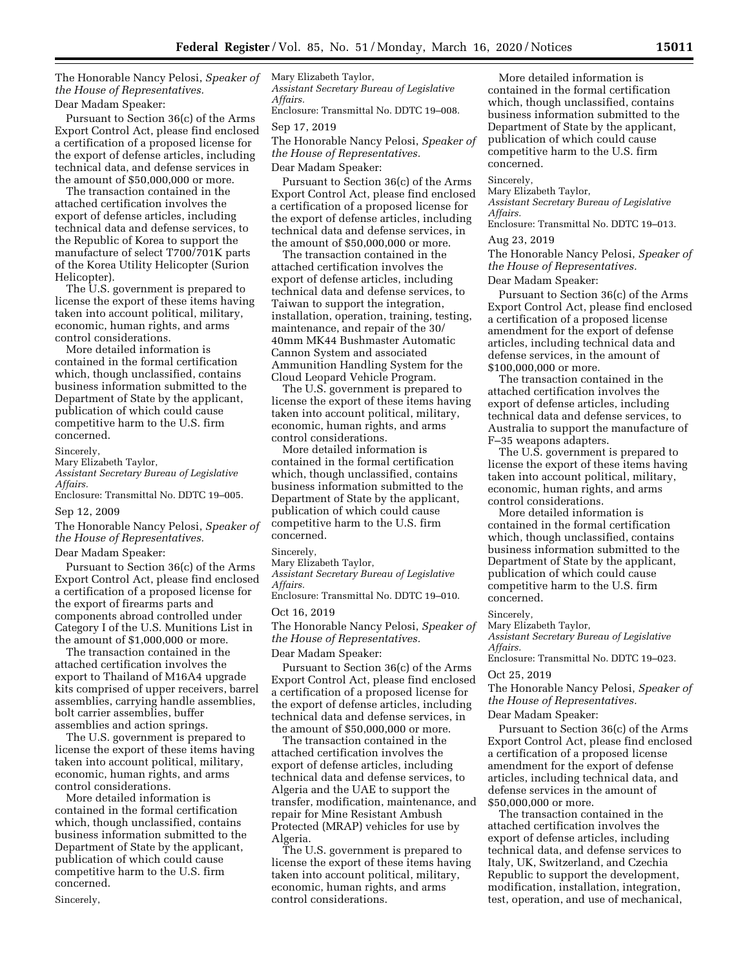The Honorable Nancy Pelosi, *Speaker of the House of Representatives.*  Dear Madam Speaker:

Pursuant to Section 36(c) of the Arms Export Control Act, please find enclosed a certification of a proposed license for the export of defense articles, including technical data, and defense services in the amount of \$50,000,000 or more.

The transaction contained in the attached certification involves the export of defense articles, including technical data and defense services, to the Republic of Korea to support the manufacture of select T700/701K parts of the Korea Utility Helicopter (Surion Helicopter).

The U.S. government is prepared to license the export of these items having taken into account political, military, economic, human rights, and arms control considerations.

More detailed information is contained in the formal certification which, though unclassified, contains business information submitted to the Department of State by the applicant, publication of which could cause competitive harm to the U.S. firm concerned.

### Sincerely,

Mary Elizabeth Taylor,

*Assistant Secretary Bureau of Legislative Affairs.* 

Enclosure: Transmittal No. DDTC 19–005.

### Sep 12, 2009

The Honorable Nancy Pelosi, *Speaker of the House of Representatives.* 

## Dear Madam Speaker:

Pursuant to Section 36(c) of the Arms Export Control Act, please find enclosed a certification of a proposed license for the export of firearms parts and components abroad controlled under Category I of the U.S. Munitions List in the amount of \$1,000,000 or more.

The transaction contained in the attached certification involves the export to Thailand of M16A4 upgrade kits comprised of upper receivers, barrel assemblies, carrying handle assemblies, bolt carrier assemblies, buffer assemblies and action springs.

The U.S. government is prepared to license the export of these items having taken into account political, military, economic, human rights, and arms control considerations.

More detailed information is contained in the formal certification which, though unclassified, contains business information submitted to the Department of State by the applicant, publication of which could cause competitive harm to the U.S. firm concerned.

Sincerely,

Mary Elizabeth Taylor, *Assistant Secretary Bureau of Legislative Affairs.* 

Enclosure: Transmittal No. DDTC 19–008.

# Sep 17, 2019

The Honorable Nancy Pelosi, *Speaker of the House of Representatives.* 

Dear Madam Speaker:

Pursuant to Section 36(c) of the Arms Export Control Act, please find enclosed a certification of a proposed license for the export of defense articles, including technical data and defense services, in the amount of \$50,000,000 or more.

The transaction contained in the attached certification involves the export of defense articles, including technical data and defense services, to Taiwan to support the integration, installation, operation, training, testing, maintenance, and repair of the 30/ 40mm MK44 Bushmaster Automatic Cannon System and associated Ammunition Handling System for the Cloud Leopard Vehicle Program.

The U.S. government is prepared to license the export of these items having taken into account political, military, economic, human rights, and arms control considerations.

More detailed information is contained in the formal certification which, though unclassified, contains business information submitted to the Department of State by the applicant, publication of which could cause competitive harm to the U.S. firm concerned.

#### Sincerely,

Mary Elizabeth Taylor,

*Assistant Secretary Bureau of Legislative Affairs.* 

Enclosure: Transmittal No. DDTC 19–010.

#### Oct 16, 2019

The Honorable Nancy Pelosi, *Speaker of the House of Representatives.* 

#### Dear Madam Speaker:

Pursuant to Section 36(c) of the Arms Export Control Act, please find enclosed a certification of a proposed license for the export of defense articles, including technical data and defense services, in the amount of \$50,000,000 or more.

The transaction contained in the attached certification involves the export of defense articles, including technical data and defense services, to Algeria and the UAE to support the transfer, modification, maintenance, and repair for Mine Resistant Ambush Protected (MRAP) vehicles for use by Algeria.

The U.S. government is prepared to license the export of these items having taken into account political, military, economic, human rights, and arms control considerations.

More detailed information is contained in the formal certification which, though unclassified, contains business information submitted to the Department of State by the applicant, publication of which could cause competitive harm to the U.S. firm concerned.

#### Sincerely,

Mary Elizabeth Taylor,

*Assistant Secretary Bureau of Legislative Affairs.* 

Enclosure: Transmittal No. DDTC 19–013.

# Aug 23, 2019

The Honorable Nancy Pelosi, *Speaker of the House of Representatives.* 

Dear Madam Speaker:

Pursuant to Section 36(c) of the Arms Export Control Act, please find enclosed a certification of a proposed license amendment for the export of defense articles, including technical data and defense services, in the amount of \$100,000,000 or more.

The transaction contained in the attached certification involves the export of defense articles, including technical data and defense services, to Australia to support the manufacture of F–35 weapons adapters.

The U.S. government is prepared to license the export of these items having taken into account political, military, economic, human rights, and arms control considerations.

More detailed information is contained in the formal certification which, though unclassified, contains business information submitted to the Department of State by the applicant, publication of which could cause competitive harm to the U.S. firm concerned.

#### Sincerely,

Mary Elizabeth Taylor, *Assistant Secretary Bureau of Legislative Affairs.* 

Enclosure: Transmittal No. DDTC 19–023.

## Oct 25, 2019

The Honorable Nancy Pelosi, *Speaker of the House of Representatives.*  Dear Madam Speaker:

Pursuant to Section 36(c) of the Arms Export Control Act, please find enclosed a certification of a proposed license amendment for the export of defense articles, including technical data, and defense services in the amount of \$50,000,000 or more.

The transaction contained in the attached certification involves the export of defense articles, including technical data, and defense services to Italy, UK, Switzerland, and Czechia Republic to support the development, modification, installation, integration, test, operation, and use of mechanical,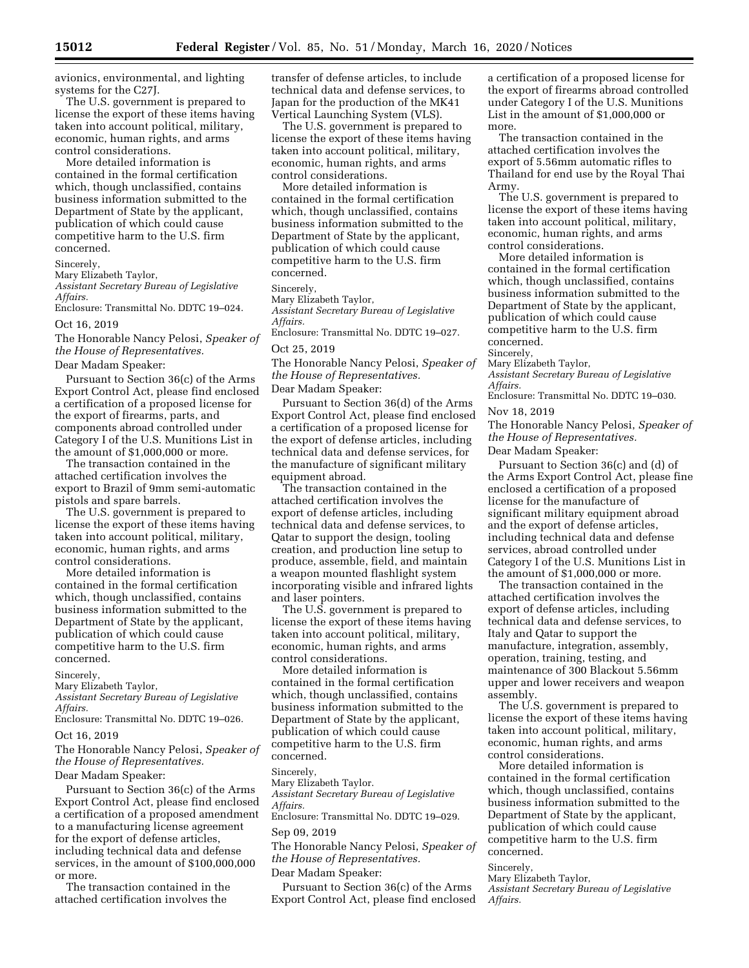avionics, environmental, and lighting systems for the C27J.

The U.S. government is prepared to license the export of these items having taken into account political, military, economic, human rights, and arms control considerations.

More detailed information is contained in the formal certification which, though unclassified, contains business information submitted to the Department of State by the applicant, publication of which could cause competitive harm to the U.S. firm concerned.

Sincerely,

Mary Elizabeth Taylor,

*Assistant Secretary Bureau of Legislative Affairs.* 

Enclosure: Transmittal No. DDTC 19–024. Oct 16, 2019

The Honorable Nancy Pelosi, *Speaker of the House of Representatives.*  Dear Madam Speaker:

Pursuant to Section 36(c) of the Arms Export Control Act, please find enclosed a certification of a proposed license for the export of firearms, parts, and components abroad controlled under Category I of the U.S. Munitions List in the amount of \$1,000,000 or more.

The transaction contained in the attached certification involves the export to Brazil of 9mm semi-automatic pistols and spare barrels.

The U.S. government is prepared to license the export of these items having taken into account political, military, economic, human rights, and arms control considerations.

More detailed information is contained in the formal certification which, though unclassified, contains business information submitted to the Department of State by the applicant, publication of which could cause competitive harm to the U.S. firm concerned.

Sincerely,

Mary Elizabeth Taylor,

*Assistant Secretary Bureau of Legislative* 

*Affairs.* 

Enclosure: Transmittal No. DDTC 19–026. Oct 16, 2019

The Honorable Nancy Pelosi, *Speaker of the House of Representatives.*  Dear Madam Speaker:

Pursuant to Section 36(c) of the Arms Export Control Act, please find enclosed a certification of a proposed amendment to a manufacturing license agreement for the export of defense articles, including technical data and defense services, in the amount of \$100,000,000 or more.

The transaction contained in the attached certification involves the

transfer of defense articles, to include technical data and defense services, to Japan for the production of the MK41 Vertical Launching System (VLS).

The U.S. government is prepared to license the export of these items having taken into account political, military, economic, human rights, and arms control considerations.

More detailed information is contained in the formal certification which, though unclassified, contains business information submitted to the Department of State by the applicant, publication of which could cause competitive harm to the U.S. firm concerned.

# Sincerely,

Mary Elizabeth Taylor,

*Assistant Secretary Bureau of Legislative Affairs.* 

Enclosure: Transmittal No. DDTC 19–027.

#### Oct 25, 2019

The Honorable Nancy Pelosi, *Speaker of the House of Representatives.* 

### Dear Madam Speaker:

Pursuant to Section 36(d) of the Arms Export Control Act, please find enclosed a certification of a proposed license for the export of defense articles, including technical data and defense services, for the manufacture of significant military equipment abroad.

The transaction contained in the attached certification involves the export of defense articles, including technical data and defense services, to Qatar to support the design, tooling creation, and production line setup to produce, assemble, field, and maintain a weapon mounted flashlight system incorporating visible and infrared lights and laser pointers.

The U.S. government is prepared to license the export of these items having taken into account political, military, economic, human rights, and arms control considerations.

More detailed information is contained in the formal certification which, though unclassified, contains business information submitted to the Department of State by the applicant, publication of which could cause competitive harm to the U.S. firm concerned.

#### Sincerely,

Mary Elizabeth Taylor.

*Assistant Secretary Bureau of Legislative Affairs.* 

Enclosure: Transmittal No. DDTC 19–029.

# Sep 09, 2019

The Honorable Nancy Pelosi, *Speaker of the House of Representatives.* 

# Dear Madam Speaker:

Pursuant to Section 36(c) of the Arms Export Control Act, please find enclosed a certification of a proposed license for the export of firearms abroad controlled under Category I of the U.S. Munitions List in the amount of \$1,000,000 or more.

The transaction contained in the attached certification involves the export of 5.56mm automatic rifles to Thailand for end use by the Royal Thai Army.

The U.S. government is prepared to license the export of these items having taken into account political, military, economic, human rights, and arms control considerations.

More detailed information is contained in the formal certification which, though unclassified, contains business information submitted to the Department of State by the applicant, publication of which could cause competitive harm to the U.S. firm concerned.

Sincerely,

Mary Elizabeth Taylor,

*Assistant Secretary Bureau of Legislative Affairs.* 

Enclosure: Transmittal No. DDTC 19–030.

Nov 18, 2019

The Honorable Nancy Pelosi, *Speaker of the House of Representatives.*  Dear Madam Speaker:

Pursuant to Section 36(c) and (d) of the Arms Export Control Act, please fine enclosed a certification of a proposed license for the manufacture of significant military equipment abroad and the export of defense articles, including technical data and defense services, abroad controlled under Category I of the U.S. Munitions List in the amount of \$1,000,000 or more.

The transaction contained in the attached certification involves the export of defense articles, including technical data and defense services, to Italy and Qatar to support the manufacture, integration, assembly, operation, training, testing, and maintenance of 300 Blackout 5.56mm upper and lower receivers and weapon assembly.

The U.S. government is prepared to license the export of these items having taken into account political, military, economic, human rights, and arms control considerations.

More detailed information is contained in the formal certification which, though unclassified, contains business information submitted to the Department of State by the applicant, publication of which could cause competitive harm to the U.S. firm concerned.

# Sincerely,

Mary Elizabeth Taylor, *Assistant Secretary Bureau of Legislative Affairs.*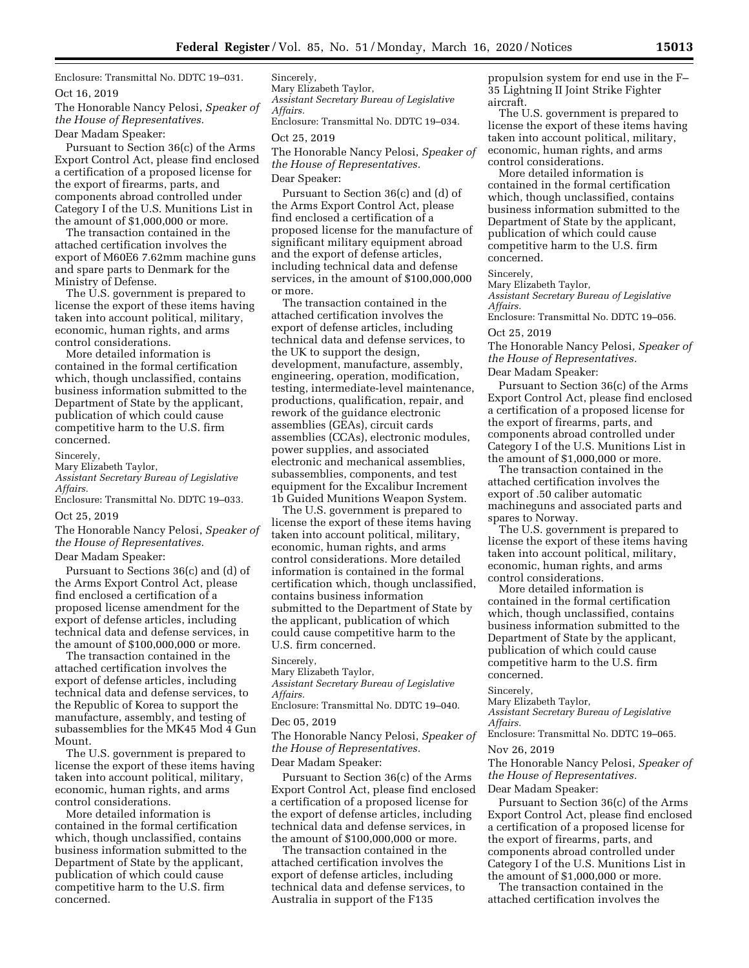Enclosure: Transmittal No. DDTC 19–031.

Oct 16, 2019

The Honorable Nancy Pelosi, *Speaker of the House of Representatives.*  Dear Madam Speaker:

Pursuant to Section 36(c) of the Arms Export Control Act, please find enclosed a certification of a proposed license for the export of firearms, parts, and components abroad controlled under Category I of the U.S. Munitions List in the amount of \$1,000,000 or more.

The transaction contained in the attached certification involves the export of M60E6 7.62mm machine guns and spare parts to Denmark for the Ministry of Defense.

The U.S. government is prepared to license the export of these items having taken into account political, military, economic, human rights, and arms control considerations.

More detailed information is contained in the formal certification which, though unclassified, contains business information submitted to the Department of State by the applicant, publication of which could cause competitive harm to the U.S. firm concerned.

Sincerely,

Mary Elizabeth Taylor,

*Assistant Secretary Bureau of Legislative Affairs.* 

Enclosure: Transmittal No. DDTC 19–033.

# Oct 25, 2019

The Honorable Nancy Pelosi, *Speaker of the House of Representatives.* 

# Dear Madam Speaker:

Pursuant to Sections 36(c) and (d) of the Arms Export Control Act, please find enclosed a certification of a proposed license amendment for the export of defense articles, including technical data and defense services, in the amount of \$100,000,000 or more.

The transaction contained in the attached certification involves the export of defense articles, including technical data and defense services, to the Republic of Korea to support the manufacture, assembly, and testing of subassemblies for the MK45 Mod 4 Gun Mount.

The U.S. government is prepared to license the export of these items having taken into account political, military, economic, human rights, and arms control considerations.

More detailed information is contained in the formal certification which, though unclassified, contains business information submitted to the Department of State by the applicant, publication of which could cause competitive harm to the U.S. firm concerned.

Sincerely,

Mary Elizabeth Taylor, *Assistant Secretary Bureau of Legislative Affairs.* 

Enclosure: Transmittal No. DDTC 19–034.

#### Oct 25, 2019

The Honorable Nancy Pelosi, *Speaker of the House of Representatives.*  Dear Speaker:

Pursuant to Section 36(c) and (d) of the Arms Export Control Act, please find enclosed a certification of a proposed license for the manufacture of significant military equipment abroad and the export of defense articles, including technical data and defense services, in the amount of \$100,000,000 or more.

The transaction contained in the attached certification involves the export of defense articles, including technical data and defense services, to the UK to support the design, development, manufacture, assembly, engineering, operation, modification, testing, intermediate-level maintenance, productions, qualification, repair, and rework of the guidance electronic assemblies (GEAs), circuit cards assemblies (CCAs), electronic modules, power supplies, and associated electronic and mechanical assemblies, subassemblies, components, and test equipment for the Excalibur Increment 1b Guided Munitions Weapon System.

The U.S. government is prepared to license the export of these items having taken into account political, military, economic, human rights, and arms control considerations. More detailed information is contained in the formal certification which, though unclassified, contains business information submitted to the Department of State by the applicant, publication of which could cause competitive harm to the U.S. firm concerned.

#### Sincerely,

Mary Elizabeth Taylor,

*Assistant Secretary Bureau of Legislative Affairs.* 

Enclosure: Transmittal No. DDTC 19–040.

### Dec 05, 2019

The Honorable Nancy Pelosi, *Speaker of the House of Representatives.*  Dear Madam Speaker:

Pursuant to Section 36(c) of the Arms Export Control Act, please find enclosed a certification of a proposed license for the export of defense articles, including technical data and defense services, in the amount of \$100,000,000 or more.

The transaction contained in the attached certification involves the export of defense articles, including technical data and defense services, to Australia in support of the F135

propulsion system for end use in the F– 35 Lightning II Joint Strike Fighter aircraft.

The U.S. government is prepared to license the export of these items having taken into account political, military, economic, human rights, and arms control considerations.

More detailed information is contained in the formal certification which, though unclassified, contains business information submitted to the Department of State by the applicant, publication of which could cause competitive harm to the U.S. firm concerned.

# Sincerely,

Mary Elizabeth Taylor, *Assistant Secretary Bureau of Legislative Affairs.* 

Enclosure: Transmittal No. DDTC 19–056. Oct 25, 2019

# The Honorable Nancy Pelosi, *Speaker of the House of Representatives.*

Dear Madam Speaker:

Pursuant to Section 36(c) of the Arms Export Control Act, please find enclosed a certification of a proposed license for the export of firearms, parts, and components abroad controlled under Category I of the U.S. Munitions List in the amount of \$1,000,000 or more.

The transaction contained in the attached certification involves the export of .50 caliber automatic machineguns and associated parts and spares to Norway.

The U.S. government is prepared to license the export of these items having taken into account political, military, economic, human rights, and arms control considerations.

More detailed information is contained in the formal certification which, though unclassified, contains business information submitted to the Department of State by the applicant, publication of which could cause competitive harm to the U.S. firm concerned.

#### Sincerely,

Mary Elizabeth Taylor, *Assistant Secretary Bureau of Legislative Affairs.* 

Enclosure: Transmittal No. DDTC 19–065.

#### Nov 26, 2019

The Honorable Nancy Pelosi, *Speaker of the House of Representatives.*  Dear Madam Speaker:

Pursuant to Section 36(c) of the Arms Export Control Act, please find enclosed a certification of a proposed license for the export of firearms, parts, and components abroad controlled under Category I of the U.S. Munitions List in the amount of \$1,000,000 or more.

The transaction contained in the attached certification involves the